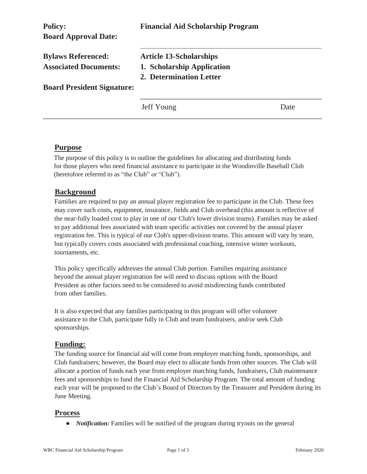| <b>Policy:</b><br><b>Board Approval Date:</b>             | <b>Financial Aid Scholarship Program</b>                                                |      |
|-----------------------------------------------------------|-----------------------------------------------------------------------------------------|------|
| <b>Bylaws Referenced:</b><br><b>Associated Documents:</b> | <b>Article 13-Scholarships</b><br>1. Scholarship Application<br>2. Determination Letter |      |
| <b>Board President Signature:</b>                         |                                                                                         |      |
|                                                           | Jeff Young                                                                              | Date |

# **Purpose**

The purpose of this policy is to outline the guidelines for allocating and distributing funds for those players who need financial assistance to participate in the Woodinville Baseball Club (heretofore referred to as "the Club" or "Club").

# **Background**

Families are required to pay an annual player registration fee to participate in the Club. These fees may cover such costs, equipment, insurance, fields and Club overhead (this amount is reflective of the near-fully loaded cost to play in one of our Club's lower division teams). Families may be asked to pay additional fees associated with team specific activities not covered by the annual player registration fee. This is typical of our Club's upper-division teams. This amount will vary by team, but typically covers costs associated with professional coaching, intensive winter workouts, tournaments, etc.

This policy specifically addresses the annual Club portion. Families requiring assistance beyond the annual player registration fee will need to discuss options with the Board President as other factors need to be considered to avoid misdirecting funds contributed from other families.

It is also expected that any families participating in this program will offer volunteer assistance to the Club, participate fully in Club and team fundraisers, and/or seek Club sponsorships.

### **Funding:**

The funding source for financial aid will come from employer matching funds, sponsorships, and Club fundraisers; however, the Board may elect to allocate funds from other sources. The Club will allocate a portion of funds each year from employer matching funds, fundraisers, Club maintenance fees and sponsorships to fund the Financial Aid Scholarship Program. The total amount of funding each year will be proposed to the Club's Board of Directors by the Treasurer and President during its June Meeting.

### **Process**

● *Notification:* Families will be notified of the program during tryouts on the general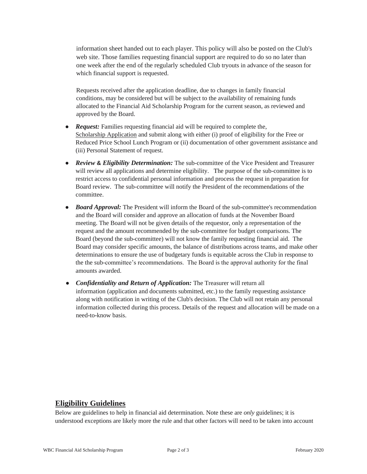information sheet handed out to each player. This policy will also be posted on the Club's web site. Those families requesting financial support are required to do so no later than one week after the end of the regularly scheduled Club tryouts in advance of the season for which financial support is requested.

Requests received after the application deadline, due to changes in family financial conditions, may be considered but will be subject to the availability of remaining funds allocated to the Financial Aid Scholarship Program for the current season, as reviewed and approved by the Board.

- *Request:* Families requesting financial aid will be required to complete the, Scholarship Application and submit along with either (i) proof of eligibility for the Free or Reduced Price School Lunch Program or (ii) documentation of other government assistance and (iii) Personal Statement of request.
- *Review* **&** *Eligibility Determination:* The sub-committee of the Vice President and Treasurer will review all applications and determine eligibility. The purpose of the sub-committee is to restrict access to confidential personal information and process the request in preparation for Board review. The sub-committee will notify the President of the recommendations of the committee.
- *Board Approval:* The President will inform the Board of the sub-committee's recommendation and the Board will consider and approve an allocation of funds at the November Board meeting. The Board will not be given details of the requestor, only a representation of the request and the amount recommended by the sub-committee for budget comparisons. The Board (beyond the sub-committee) will not know the family requesting financial aid. The Board may consider specific amounts, the balance of distributions across teams, and make other determinations to ensure the use of budgetary funds is equitable across the Club in response to the the sub-committee's recommendations. The Board is the approval authority for the final amounts awarded.
- *Confidentiality and Return of Application:* The Treasurer will return all information (application and documents submitted, etc.) to the family requesting assistance along with notification in writing of the Club's decision. The Club will not retain any personal information collected during this process. Details of the request and allocation will be made on a need-to-know basis.

### **Eligibility Guidelines**

Below are guidelines to help in financial aid determination. Note these are *only* guidelines; it is understood exceptions are likely more the rule and that other factors will need to be taken into account